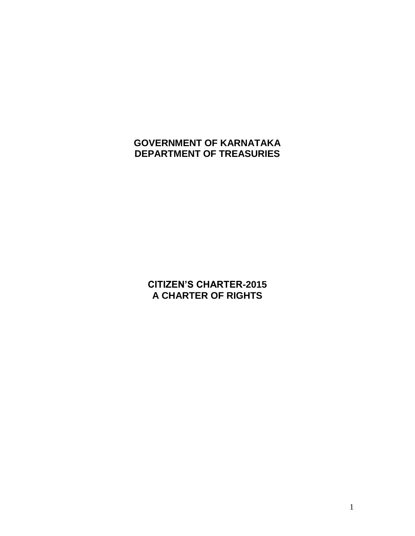# **GOVERNMENT OF KARNATAKA DEPARTMENT OF TREASURIES**

**CITIZEN'S CHARTER-2015 A CHARTER OF RIGHTS**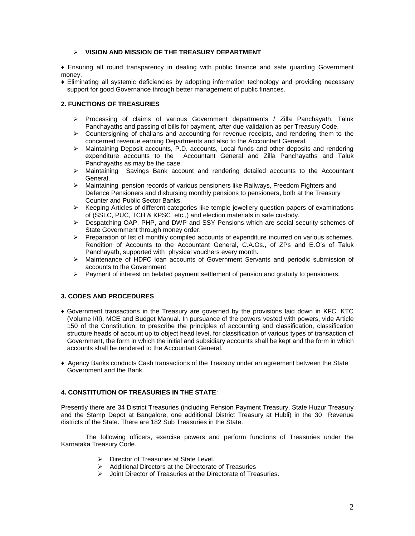# **VISION AND MISSION OF THE TREASURY DEPARTMENT**

♦ Ensuring all round transparency in dealing with public finance and safe guarding Government money.

♦ Eliminating all systemic deficiencies by adopting information technology and providing necessary support for good Governance through better management of public finances.

# **2. FUNCTIONS OF TREASURIES**

- $\triangleright$  Processing of claims of various Government departments / Zilla Panchayath, Taluk Panchayaths and passing of bills for payment, after due validation as per Treasury Code.
- $\triangleright$  Countersigning of challans and accounting for revenue receipts, and rendering them to the concerned revenue earning Departments and also to the Accountant General.
- $\triangleright$  Maintaining Deposit accounts, P.D. accounts, Local funds and other deposits and rendering expenditure accounts to the Accountant General and Zilla Panchayaths and Taluk Panchayaths as may be the case.
- $\triangleright$  Maintaining Savings Bank account and rendering detailed accounts to the Accountant General.
- Maintaining pension records of various pensioners like Railways, Freedom Fighters and Defence Pensioners and disbursing monthly pensions to pensioners, both at the Treasury Counter and Public Sector Banks.
- $\triangleright$  Keeping Articles of different categories like temple jewellery question papers of examinations of (SSLC, PUC, TCH & KPSC etc.,) and election materials in safe custody.
- $\triangleright$  Despatching OAP, PHP, and DWP and SSY Pensions which are social security schemes of State Government through money order.
- $\triangleright$  Preparation of list of monthly compiled accounts of expenditure incurred on various schemes. Rendition of Accounts to the Accountant General, C.A.Os., of ZPs and E.O's of Taluk Panchayath, supported with physical vouchers every month.
- Maintenance of HDFC loan accounts of Government Servants and periodic submission of accounts to the Government
- $\triangleright$  Payment of interest on belated payment settlement of pension and gratuity to pensioners.

# **3. CODES AND PROCEDURES**

- ♦ Government transactions in the Treasury are governed by the provisions laid down in KFC, KTC (Volume I/II), MCE and Budget Manual. In pursuance of the powers vested with powers, vide Article 150 of the Constitution, to prescribe the principles of accounting and classification, classification structure heads of account up to object head level, for classification of various types of transaction of Government, the form in which the initial and subsidiary accounts shall be kept and the form in which accounts shall be rendered to the Accountant General.
- ♦ Agency Banks conducts Cash transactions of the Treasury under an agreement between the State Government and the Bank.

# **4. CONSTITUTION OF TREASURIES IN THE STATE**:

Presently there are 34 District Treasuries (including Pension Payment Treasury, State Huzur Treasury and the Stamp Depot at Bangalore, one additional District Treasury at Hubli) in the 30 Revenue districts of the State. There are 182 Sub Treasuries in the State.

The following officers, exercise powers and perform functions of Treasuries under the Karnataka Treasury Code.

- Director of Treasuries at State Level.
- $\triangleright$  Additional Directors at the Directorate of Treasuries
- $\triangleright$  Joint Director of Treasuries at the Directorate of Treasuries.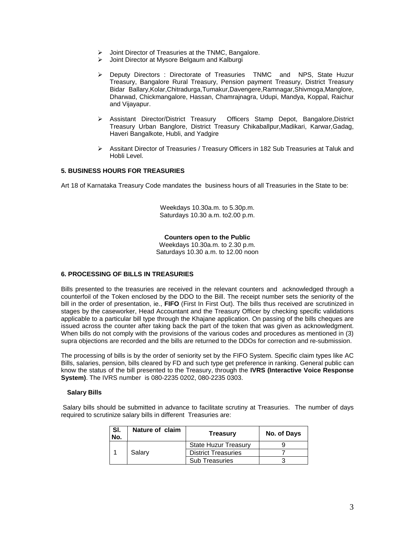- > Joint Director of Treasuries at the TNMC, Bangalore.
- Joint Director at Mysore Belgaum and Kalburgi
- ▶ Deputy Directors : Directorate of Treasuries TNMC and NPS, State Huzur Treasury, Bangalore Rural Treasury, Pension payment Treasury, District Treasury Bidar Ballary,Kolar,Chitradurga,Tumakur,Davengere,Ramnagar,Shivmoga,Manglore, Dharwad, Chickmangalore, Hassan, Chamrajnagra, Udupi, Mandya, Koppal, Raichur and Vijayapur.
- Assistant Director/District Treasury Officers Stamp Depot, Bangalore,District Treasury Urban Banglore, District Treasury Chikaballpur,Madikari, Karwar,Gadag, Haveri Bangalkote, Hubli, and Yadgire
- Assitant Director of Treasuries / Treasury Officers in 182 Sub Treasuries at Taluk and Hobli Level.

# **5. BUSINESS HOURS FOR TREASURIES**

Art 18 of Karnataka Treasury Code mandates the business hours of all Treasuries in the State to be:

Weekdays 10.30a.m. to 5.30p.m. Saturdays 10.30 a.m. to2.00 p.m.

#### **Counters open to the Public**

Weekdays 10.30a.m. to 2.30 p.m. Saturdays 10.30 a.m. to 12.00 noon

## **6. PROCESSING OF BILLS IN TREASURIES**

Bills presented to the treasuries are received in the relevant counters and acknowledged through a counterfoil of the Token enclosed by the DDO to the Bill. The receipt number sets the seniority of the bill in the order of presentation, ie., **FIFO** (First In First Out). The bills thus received are scrutinized in stages by the caseworker, Head Accountant and the Treasury Officer by checking specific validations applicable to a particular bill type through the Khajane application. On passing of the bills cheques are issued across the counter after taking back the part of the token that was given as acknowledgment. When bills do not comply with the provisions of the various codes and procedures as mentioned in (3) supra objections are recorded and the bills are returned to the DDOs for correction and re-submission.

The processing of bills is by the order of seniority set by the FIFO System. Specific claim types like AC Bills, salaries, pension, bills cleared by FD and such type get preference in ranking. General public can know the status of the bill presented to the Treasury, through the **IVRS (Interactive Voice Response System)**. The IVRS number is 080-2235 0202, 080-2235 0303.

#### **Salary Bills**

Salary bills should be submitted in advance to facilitate scrutiny at Treasuries. The number of days required to scrutinize salary bills in different Treasuries are:

| l SI.<br>No. | Nature of claim | Treasury                    | No. of Days |
|--------------|-----------------|-----------------------------|-------------|
|              | Salary          | <b>State Huzur Treasury</b> |             |
|              |                 | <b>District Treasuries</b>  |             |
|              |                 | <b>Sub Treasuries</b>       |             |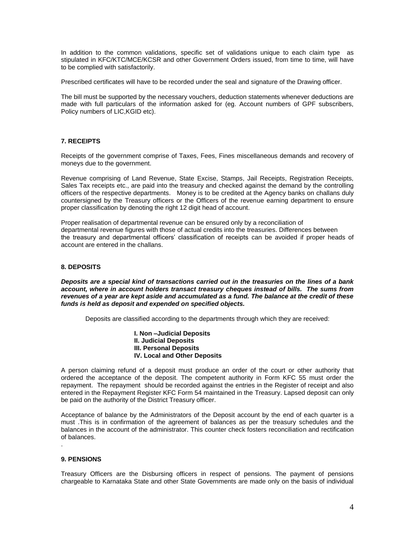In addition to the common validations, specific set of validations unique to each claim type as stipulated in KFC/KTC/MCE/KCSR and other Government Orders issued, from time to time, will have to be complied with satisfactorily.

Prescribed certificates will have to be recorded under the seal and signature of the Drawing officer.

The bill must be supported by the necessary vouchers, deduction statements whenever deductions are made with full particulars of the information asked for (eg. Account numbers of GPF subscribers, Policy numbers of LIC,KGID etc).

# **7. RECEIPTS**

Receipts of the government comprise of Taxes, Fees, Fines miscellaneous demands and recovery of moneys due to the government.

Revenue comprising of Land Revenue, State Excise, Stamps, Jail Receipts, Registration Receipts, Sales Tax receipts etc., are paid into the treasury and checked against the demand by the controlling officers of the respective departments. Money is to be credited at the Agency banks on challans duly countersigned by the Treasury officers or the Officers of the revenue earning department to ensure proper classification by denoting the right 12 digit head of account.

Proper realisation of departmental revenue can be ensured only by a reconciliation of departmental revenue figures with those of actual credits into the treasuries. Differences between the treasury and departmental officers' classification of receipts can be avoided if proper heads of account are entered in the challans.

## **8. DEPOSITS**

*Deposits are a special kind of transactions carried out in the treasuries on the lines of a bank account, where in account holders transact treasury cheques instead of bills. The sums from revenues of a year are kept aside and accumulated as a fund. The balance at the credit of these funds is held as deposit and expended on specified objects.*

Deposits are classified according to the departments through which they are received:

**I. Non –Judicial Deposits II. Judicial Deposits III. Personal Deposits IV. Local and Other Deposits**

A person claiming refund of a deposit must produce an order of the court or other authority that ordered the acceptance of the deposit. The competent authority in Form KFC 55 must order the repayment. The repayment should be recorded against the entries in the Register of receipt and also entered in the Repayment Register KFC Form 54 maintained in the Treasury. Lapsed deposit can only be paid on the authority of the District Treasury officer.

Acceptance of balance by the Administrators of the Deposit account by the end of each quarter is a must .This is in confirmation of the agreement of balances as per the treasury schedules and the balances in the account of the administrator. This counter check fosters reconciliation and rectification of balances.

## **9. PENSIONS**

.

Treasury Officers are the Disbursing officers in respect of pensions. The payment of pensions chargeable to Karnataka State and other State Governments are made only on the basis of individual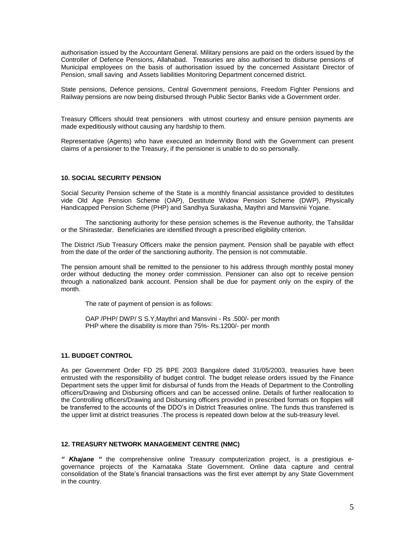authorisation issued by the Accountant General. Military pensions are paid on the orders issued by the Controller of Defence Pensions, Allahabad. Treasuries are also authorised to disburse pensions of Municipal employees on the basis of authorisation issued by the concerned Assistant Director of Pension, small saving and Assets liabilities Monitoring Department concerned district.

State pensions, Defence pensions, Central Government pensions, Freedom Fighter Pensions and Railway pensions are now being disbursed through Public Sector Banks vide a Government order.

Treasury Officers should treat pensioners with utmost courtesy and ensure pension payments are made expeditiously without causing any hardship to them.

Representative (Agents) who have executed an Indemnity Bond with the Government can present claims of a pensioner to the Treasury, if the pensioner is unable to do so personally.

## **10. SOCIAL SECURITY PENSION**

Social Security Pension scheme of the State is a monthly financial assistance provided to destitutes vide Old Age Pension Scheme (OAP), Destitute Widow Pension Scheme (DWP), Physically Handicapped Pension Scheme (PHP) and Sandhya Surakasha, Maythri and Mansvinii Yojane.

The sanctioning authority for these pension schemes is the Revenue authority, the Tahsildar or the Shirastedar. Beneficiaries are identified through a prescribed eligibility criterion.

The District /Sub Treasury Officers make the pension payment. Pension shall be payable with effect from the date of the order of the sanctioning authority. The pension is not commutable.

The pension amount shall be remitted to the pensioner to his address through monthly postal money order without deducting the money order commission. Pensioner can also opt to receive pension through a nationalized bank account. Pension shall be due for payment only on the expiry of the month.

The rate of payment of pension is as follows:

OAP /PHP/ DWP/ S S.Y,Maythri and Mansvini - Rs .500/- per month PHP where the disability is more than 75%- Rs.1200/- per month

#### **11. BUDGET CONTROL**

As per Government Order FD 25 BPE 2003 Bangalore dated 31/05/2003, treasuries have been entrusted with the responsibility of budget control. The budget release orders issued by the Finance Department sets the upper limit for disbursal of funds from the Heads of Department to the Controlling officers/Drawing and Disbursing officers and can be accessed online. Details of further reallocation to the Controlling officers/Drawing and Disbursing officers provided in prescribed formats on floppies will be transferred to the accounts of the DDO's in District Treasuries online. The funds thus transferred is the upper limit at district treasuries .The process is repeated down below at the sub-treasury level.

# **12. TREASURY NETWORK MANAGEMENT CENTRE (NMC)**

*" Khajane "* the comprehensive online Treasury computerization project, is a prestigious egovernance projects of the Karnataka State Government. Online data capture and central consolidation of the State's financial transactions was the first ever attempt by any State Government in the country.